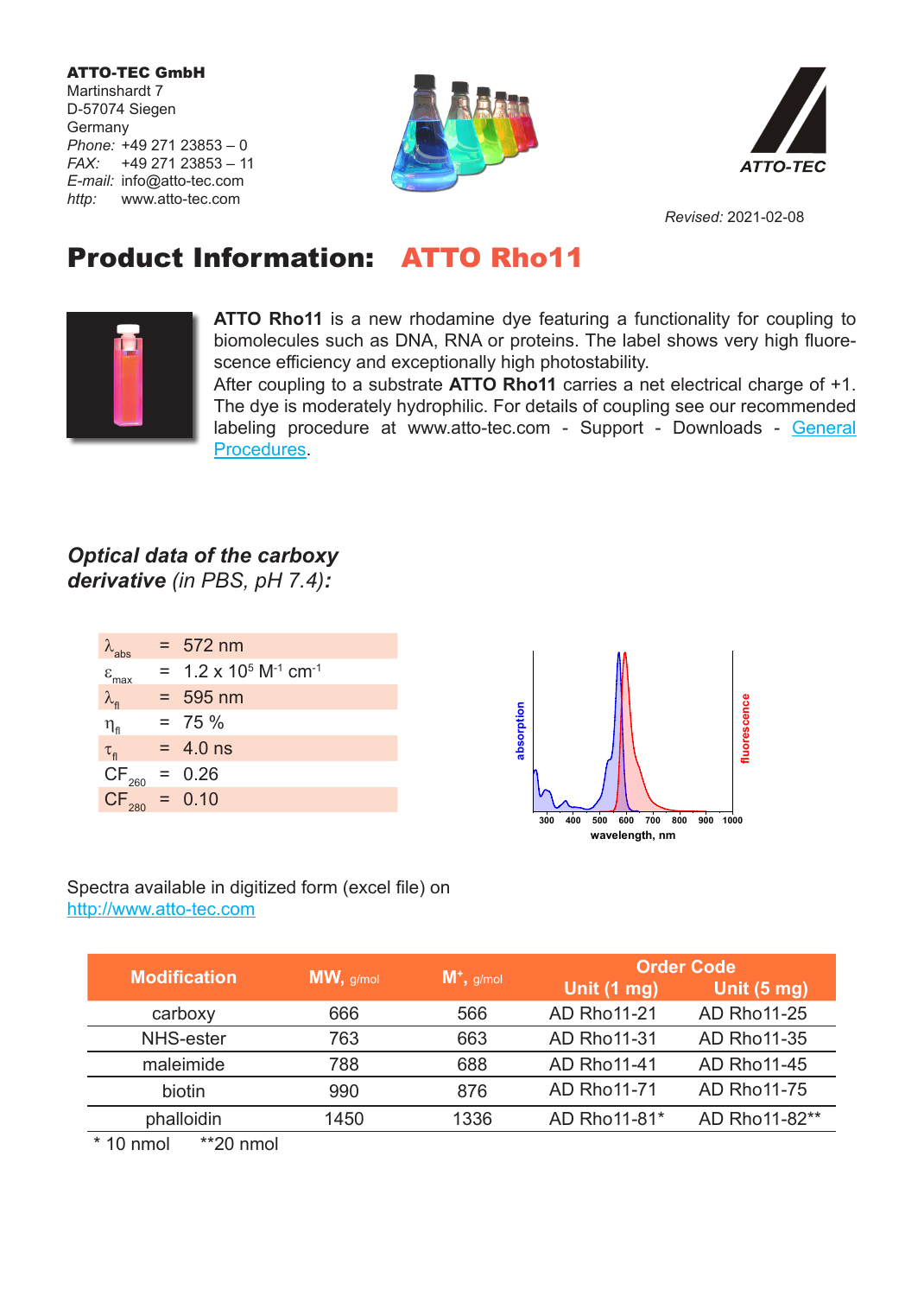ATTO-TEC GmbH Martinshardt 7 D-57074 Siegen **Germany** *Phone:* +49 271 23853 – 0 *FAX:* +49 271 23853 – 11 *E-mail:* info@atto-tec.com *http:* www.atto-tec.com





*Revised:* 2021-02-08

# Product Information: ATTO Rho11



**ATTO Rho11** is a new rhodamine dye featuring a functionality for coupling to biomolecules such as DNA, RNA or proteins. The label shows very high fluorescence efficiency and exceptionally high photostability.

After coupling to a substrate **ATTO Rho11** carries a net electrical charge of +1. The dye is moderately hydrophilic. For details of coupling see our recommended labeling procedure at www.atto-tec.com - Support - Downloads - General Procedures.

# *Optical data of the carboxy derivative (in PBS, pH 7.4):*

| $\lambda_{\text{abs}}$       | $= 572$ nm                                           |
|------------------------------|------------------------------------------------------|
| $\varepsilon$ <sub>max</sub> | $= 1.2 \times 10^5$ M <sup>-1</sup> cm <sup>-1</sup> |
| $\lambda_{\rm fl}$           | $= 595$ nm                                           |
| $\eta_{\text{fl}}$           | $= 75 \%$                                            |
| $\tau_{\rm fl}$              | $= 4.0$ ns                                           |
| $CF_{260}$                   | $= 0.26$                                             |
| $CF_{280} = 0.10$            |                                                      |



### Spectra available in digitized form (excel file) on http://www.atto-tec.com

| <b>Modification</b> | $MW_{n, g/mol}$ | $M^+$ , g/mol | <b>Order Code</b>     |                       |
|---------------------|-----------------|---------------|-----------------------|-----------------------|
|                     |                 |               | Unit $(1 \text{ mg})$ | Unit $(5 \text{ mg})$ |
| carboxy             | 666             | 566           | <b>AD Rho11-21</b>    | <b>AD Rho11-25</b>    |
| <b>NHS-ester</b>    | 763             | 663           | <b>AD Rho11-31</b>    | <b>AD Rho11-35</b>    |
| maleimide           | 788             | 688           | <b>AD Rho11-41</b>    | <b>AD Rho11-45</b>    |
| biotin              | 990             | 876           | <b>AD Rho11-71</b>    | <b>AD Rho11-75</b>    |
| phalloidin          | 1450            | 1336          | AD Rho11-81*          | AD Rho11-82**         |

\* 10 nmol \*\*20 nmol